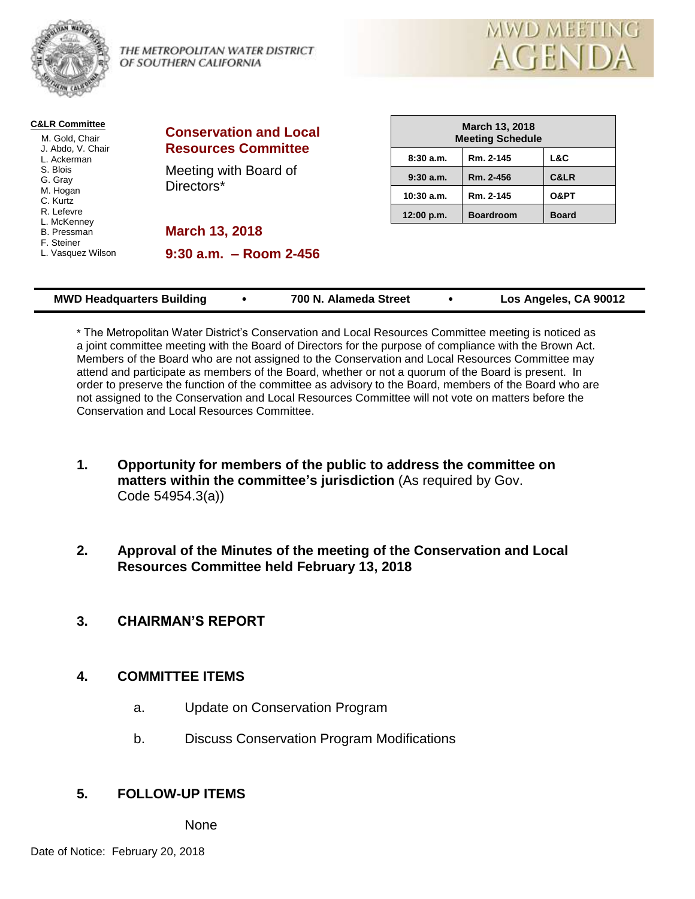

**C&LR Committee**

THE METROPOLITAN WATER DISTRICT OF SOUTHERN CALIFORNIA



| <b>C&amp;LR Committee</b><br>M. Gold, Chair | <b>Conservation and Local</b> |              | March 13, 2018<br><b>Meeting Schedule</b> |              |  |  |  |
|---------------------------------------------|-------------------------------|--------------|-------------------------------------------|--------------|--|--|--|
| J. Abdo, V. Chair<br>L. Ackerman            | <b>Resources Committee</b>    | 8:30a.m.     | Rm. 2-145                                 | L&C          |  |  |  |
| S. Blois<br>G. Gray                         | Meeting with Board of         | $9:30$ a.m.  | Rm. 2-456                                 | C&LR         |  |  |  |
| M. Hogan<br>C. Kurtz                        | Directors*                    | $10:30$ a.m. | Rm. 2-145                                 | O&PT         |  |  |  |
| R. Lefevre<br>L. McKenney                   |                               | 12:00 p.m.   | <b>Boardroom</b>                          | <b>Board</b> |  |  |  |
| <b>B.</b> Pressman<br>F. Steiner            | <b>March 13, 2018</b>         |              |                                           |              |  |  |  |
| L. Vasquez Wilson                           | $9:30$ a.m. $-$ Room 2-456    |              |                                           |              |  |  |  |
|                                             |                               |              |                                           |              |  |  |  |

| <b>MWD Headquarters Building</b> |  | 700 N. Alameda Street |  | Los Angeles, CA 90012 |
|----------------------------------|--|-----------------------|--|-----------------------|
|----------------------------------|--|-----------------------|--|-----------------------|

\* The Metropolitan Water District's Conservation and Local Resources Committee meeting is noticed as a joint committee meeting with the Board of Directors for the purpose of compliance with the Brown Act. Members of the Board who are not assigned to the Conservation and Local Resources Committee may attend and participate as members of the Board, whether or not a quorum of the Board is present. In order to preserve the function of the committee as advisory to the Board, members of the Board who are not assigned to the Conservation and Local Resources Committee will not vote on matters before the Conservation and Local Resources Committee.

- **1. Opportunity for members of the public to address the committee on matters within the committee's jurisdiction** (As required by Gov. Code 54954.3(a))
- **2. Approval of the Minutes of the meeting of the Conservation and Local Resources Committee held February 13, 2018**
- **3. CHAIRMAN'S REPORT**

## **4. COMMITTEE ITEMS**

- a. Update on Conservation Program
- b. Discuss Conservation Program Modifications

## **5. FOLLOW-UP ITEMS**

None